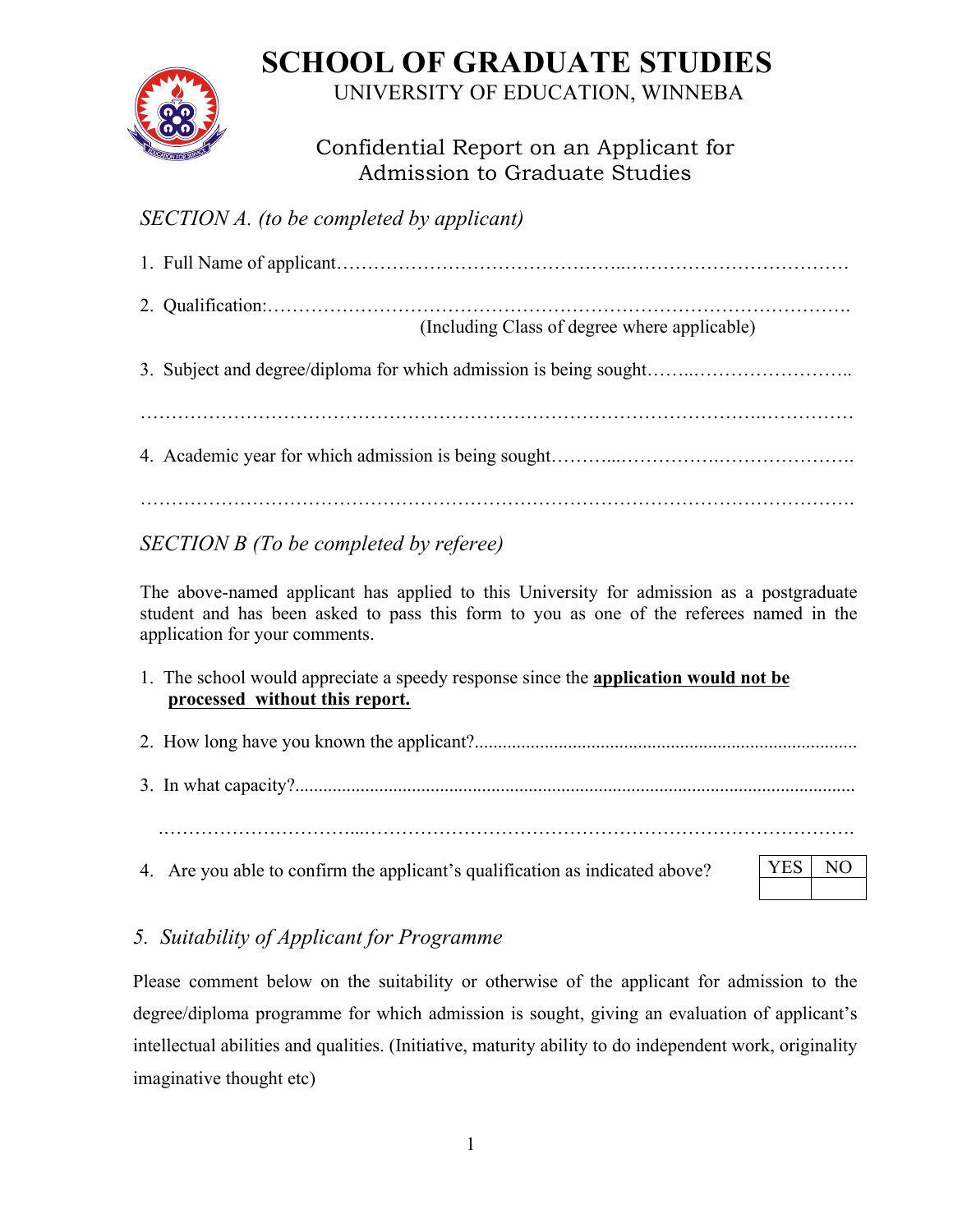## **SCHOOL OF GRADUATE STUDIES**



UNIVERSITY OF EDUCATION, WINNEBA

## Confidential Report on an Applicant for Admission to Graduate Studies

## *SECTION A. (to be completed by applicant)*

|                                                                                                                                                                                                                       | (Including Class of degree where applicable)                      |  |  |
|-----------------------------------------------------------------------------------------------------------------------------------------------------------------------------------------------------------------------|-------------------------------------------------------------------|--|--|
|                                                                                                                                                                                                                       | 3. Subject and degree/diploma for which admission is being sought |  |  |
|                                                                                                                                                                                                                       |                                                                   |  |  |
| SECTION B (To be completed by referee)                                                                                                                                                                                |                                                                   |  |  |
| The above-named applicant has applied to this University for admission as a postgraduate<br>student and has been asked to pass this form to you as one of the referees named in the<br>application for your comments. |                                                                   |  |  |

- 1. The school would appreciate a speedy response since the **application would not be processed without this report.**
- 2. How long have you known the applicant?..................................................................................
- 3. In what capacity?........................................................................................................................

4. Are you able to confirm the applicant's qualification as indicated above?

## *5. Suitability of Applicant for Programme*

Please comment below on the suitability or otherwise of the applicant for admission to the degree/diploma programme for which admission is sought, giving an evaluation of applicant's intellectual abilities and qualities. (Initiative, maturity ability to do independent work, originality imaginative thought etc)